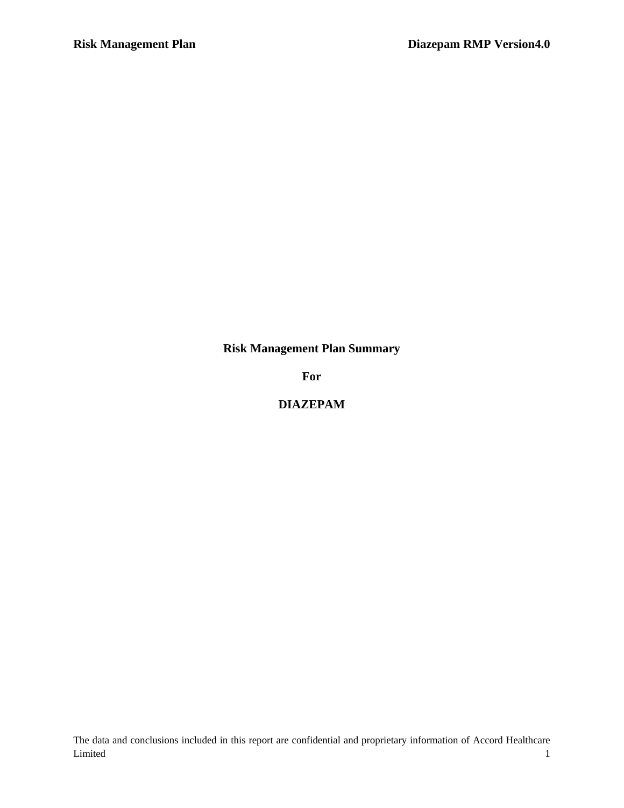**Risk Management Plan Summary**

**For**

**DIAZEPAM**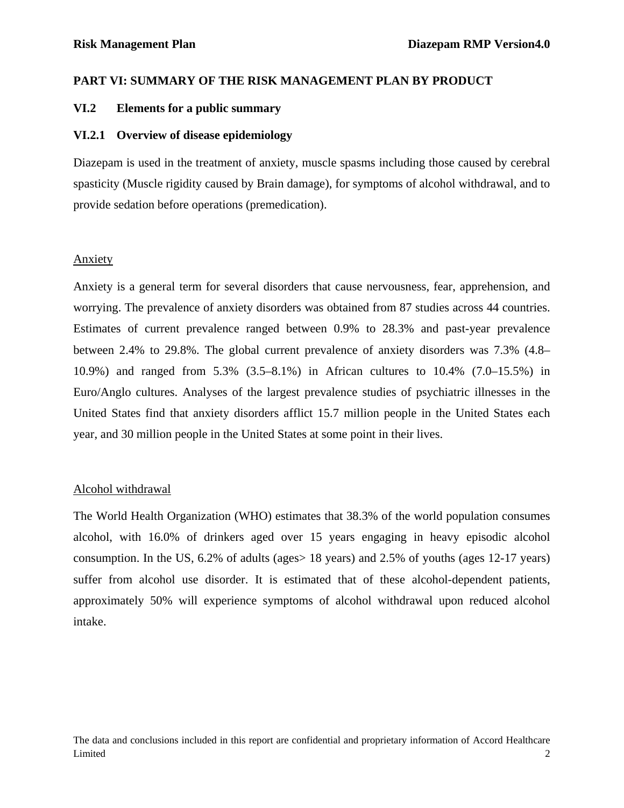### **PART VI: SUMMARY OF THE RISK MANAGEMENT PLAN BY PRODUCT**

### **VI.2 Elements for a public summary**

### **VI.2.1 Overview of disease epidemiology**

Diazepam is used in the treatment of anxiety, muscle spasms including those caused by cerebral spasticity (Muscle rigidity caused by Brain damage), for symptoms of alcohol withdrawal, and to provide sedation before operations (premedication).

### Anxiety

Anxiety is a general term for several disorders that cause nervousness, fear, apprehension, and worrying. The prevalence of anxiety disorders was obtained from 87 studies across 44 countries. Estimates of current prevalence ranged between 0.9% to 28.3% and past-year prevalence between 2.4% to 29.8%. The global current prevalence of anxiety disorders was 7.3% (4.8– 10.9%) and ranged from 5.3% (3.5–8.1%) in African cultures to 10.4% (7.0–15.5%) in Euro/Anglo cultures. Analyses of the largest prevalence studies of psychiatric illnesses in the United States find that anxiety disorders afflict 15.7 million people in the United States each year, and 30 million people in the United States at some point in their lives.

## Alcohol withdrawal

The World Health Organization (WHO) estimates that 38.3% of the world population consumes alcohol, with 16.0% of drinkers aged over 15 years engaging in heavy episodic alcohol consumption. In the US, 6.2% of adults (ages> 18 years) and 2.5% of youths (ages 12-17 years) suffer from alcohol use disorder. It is estimated that of these alcohol-dependent patients, approximately 50% will experience symptoms of alcohol withdrawal upon reduced alcohol intake.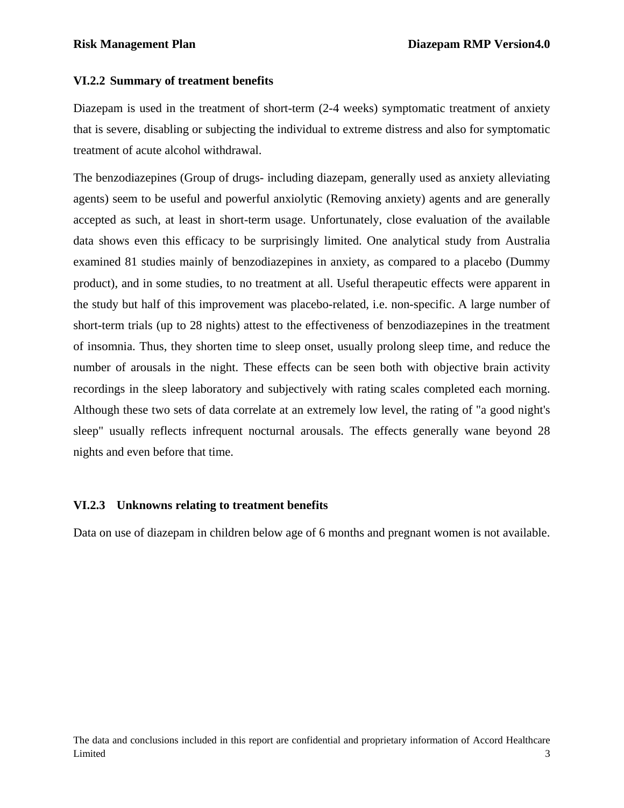### **VI.2.2 Summary of treatment benefits**

Diazepam is used in the treatment of short-term (2-4 weeks) symptomatic treatment of anxiety that is severe, disabling or subjecting the individual to extreme distress and also for symptomatic treatment of acute alcohol withdrawal.

The benzodiazepines (Group of drugs- including diazepam, generally used as anxiety alleviating agents) seem to be useful and powerful anxiolytic (Removing anxiety) agents and are generally accepted as such, at least in short-term usage. Unfortunately, close evaluation of the available data shows even this efficacy to be surprisingly limited. One analytical study from Australia examined 81 studies mainly of benzodiazepines in anxiety, as compared to a placebo (Dummy product), and in some studies, to no treatment at all. Useful therapeutic effects were apparent in the study but half of this improvement was placebo-related, i.e. non-specific. A large number of short-term trials (up to 28 nights) attest to the effectiveness of benzodiazepines in the treatment of insomnia. Thus, they shorten time to sleep onset, usually prolong sleep time, and reduce the number of arousals in the night. These effects can be seen both with objective brain activity recordings in the sleep laboratory and subjectively with rating scales completed each morning. Although these two sets of data correlate at an extremely low level, the rating of "a good night's sleep" usually reflects infrequent nocturnal arousals. The effects generally wane beyond 28 nights and even before that time.

### **VI.2.3 Unknowns relating to treatment benefits**

Data on use of diazepam in children below age of 6 months and pregnant women is not available.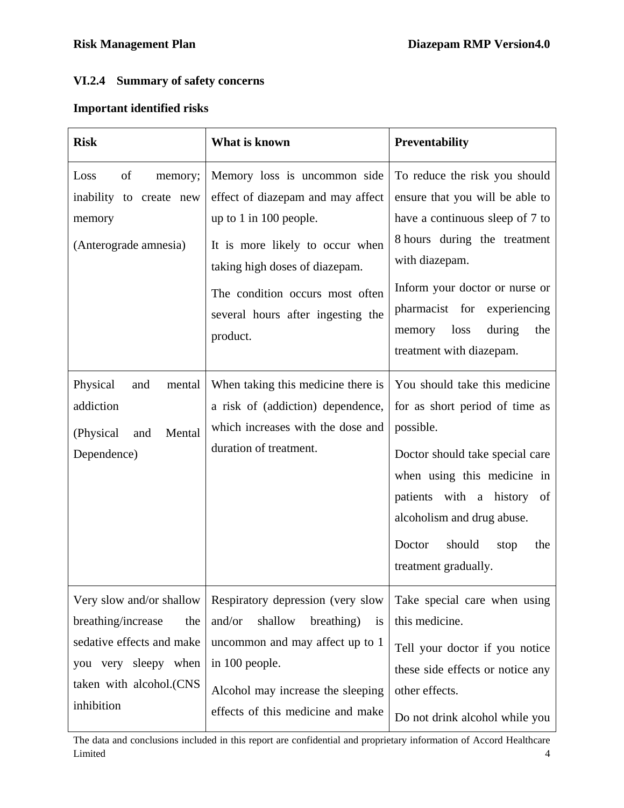# **VI.2.4 Summary of safety concerns**

## **Important identified risks**

| <b>Risk</b>                                                                                                                                                                                                                                                                                                                                                | What is known                                                                                                                                                                                                                                          | Preventability                                                                                                                                                                                                                                                                        |
|------------------------------------------------------------------------------------------------------------------------------------------------------------------------------------------------------------------------------------------------------------------------------------------------------------------------------------------------------------|--------------------------------------------------------------------------------------------------------------------------------------------------------------------------------------------------------------------------------------------------------|---------------------------------------------------------------------------------------------------------------------------------------------------------------------------------------------------------------------------------------------------------------------------------------|
| Loss<br>of<br>memory;<br>inability to create new<br>memory<br>(Anterograde amnesia)                                                                                                                                                                                                                                                                        | Memory loss is uncommon side<br>effect of diazepam and may affect<br>up to $1$ in 100 people.<br>It is more likely to occur when<br>taking high doses of diazepam.<br>The condition occurs most often<br>several hours after ingesting the<br>product. | To reduce the risk you should<br>ensure that you will be able to<br>have a continuous sleep of 7 to<br>8 hours during the treatment<br>with diazepam.<br>Inform your doctor or nurse or<br>pharmacist for experiencing<br>loss<br>during<br>the<br>memory<br>treatment with diazepam. |
| Physical<br>and<br>mental<br>addiction<br>(Physical<br>Mental<br>and<br>Dependence)                                                                                                                                                                                                                                                                        | When taking this medicine there is<br>a risk of (addiction) dependence,<br>which increases with the dose and<br>duration of treatment.                                                                                                                 | You should take this medicine<br>for as short period of time as<br>possible.<br>Doctor should take special care<br>when using this medicine in<br>patients with a history of<br>alcoholism and drug abuse.<br>should<br>Doctor<br>stop<br>the<br>treatment gradually.                 |
| Respiratory depression (very slow<br>Very slow and/or shallow<br>breathing/increase<br>and/or<br>shallow<br>breathing)<br>the<br>sedative effects and make<br>uncommon and may affect up to 1<br>in 100 people.<br>you very sleepy when<br>taken with alcohol.(CNS<br>Alcohol may increase the sleeping<br>inhibition<br>effects of this medicine and make |                                                                                                                                                                                                                                                        | Take special care when using<br>this medicine.<br>Tell your doctor if you notice<br>these side effects or notice any<br>other effects.<br>Do not drink alcohol while you                                                                                                              |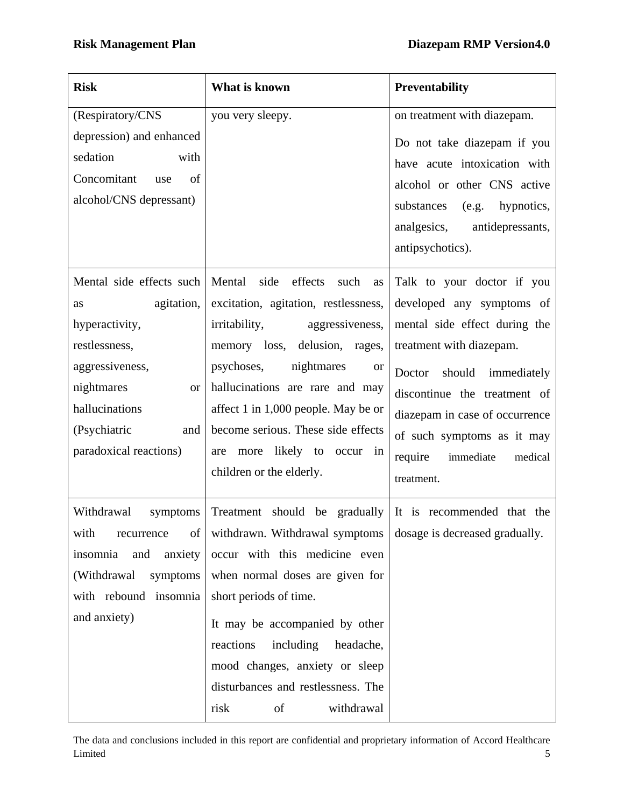| <b>Risk</b>                                                                                                                                                                                      | What is known                                                                                                                                                                                                                                                                                                                                                                               | Preventability                                                                                                                                                                                                                                                                                           |
|--------------------------------------------------------------------------------------------------------------------------------------------------------------------------------------------------|---------------------------------------------------------------------------------------------------------------------------------------------------------------------------------------------------------------------------------------------------------------------------------------------------------------------------------------------------------------------------------------------|----------------------------------------------------------------------------------------------------------------------------------------------------------------------------------------------------------------------------------------------------------------------------------------------------------|
| (Respiratory/CNS<br>depression) and enhanced<br>sedation<br>with<br>Concomitant<br>of<br>use<br>alcohol/CNS depressant)                                                                          | you very sleepy.                                                                                                                                                                                                                                                                                                                                                                            | on treatment with diazepam.<br>Do not take diazepam if you<br>have acute intoxication with<br>alcohol or other CNS active<br>substances<br>(e.g. hypnotics,<br>analgesics,<br>antidepressants,<br>antipsychotics).                                                                                       |
| Mental side effects such<br>agitation,<br>as<br>hyperactivity,<br>restlessness,<br>aggressiveness,<br>nightmares<br><b>or</b><br>hallucinations<br>(Psychiatric<br>and<br>paradoxical reactions) | Mental<br>side<br>effects<br>such<br>as<br>excitation, agitation, restlessness,<br><i>irritability,</i><br>aggressiveness,<br>memory loss,<br>delusion, rages,<br>psychoses,<br>nightmares<br><b>or</b><br>hallucinations are rare and may<br>affect 1 in 1,000 people. May be or<br>become serious. These side effects<br>likely to<br>more<br>are<br>occur in<br>children or the elderly. | Talk to your doctor if you<br>developed any symptoms of<br>mental side effect during the<br>treatment with diazepam.<br>should<br>immediately<br>Doctor<br>discontinue the treatment of<br>diazepam in case of occurrence<br>of such symptoms as it may<br>require<br>immediate<br>medical<br>treatment. |
| Withdrawal<br>symptoms<br>with<br>recurrence<br>of<br>insomnia<br>and<br>anxiety<br>(Withdrawal<br>symptoms<br>with rebound insomnia<br>and anxiety)                                             | Treatment should be gradually<br>withdrawn. Withdrawal symptoms<br>occur with this medicine even<br>when normal doses are given for<br>short periods of time.<br>It may be accompanied by other<br>including<br>headache,<br>reactions<br>mood changes, anxiety or sleep<br>disturbances and restlessness. The<br>withdrawal<br>risk<br>of                                                  | It is recommended that the<br>dosage is decreased gradually.                                                                                                                                                                                                                                             |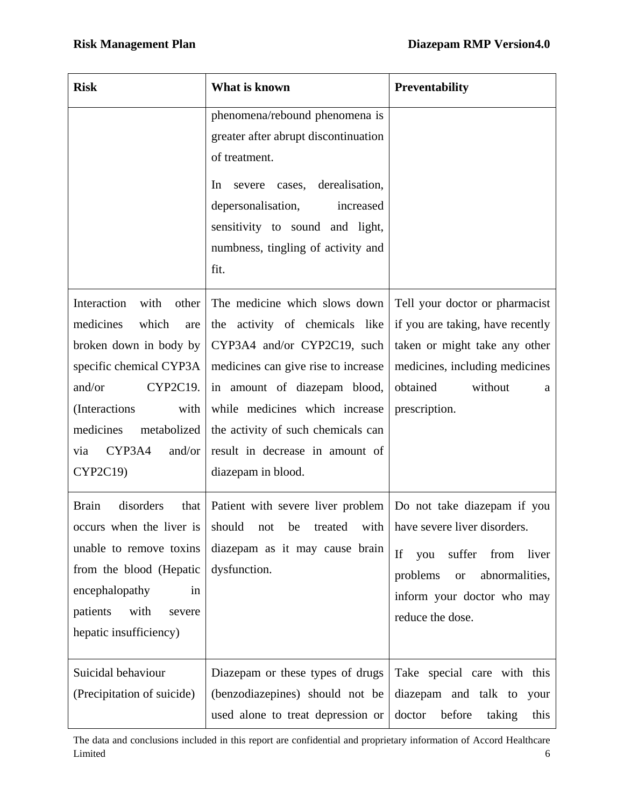| <b>Risk</b>                                                                                                                                                                                                                      | What is known                                                                                                                                                                                                                                                                                          | <b>Preventability</b>                                                                                                                                                              |
|----------------------------------------------------------------------------------------------------------------------------------------------------------------------------------------------------------------------------------|--------------------------------------------------------------------------------------------------------------------------------------------------------------------------------------------------------------------------------------------------------------------------------------------------------|------------------------------------------------------------------------------------------------------------------------------------------------------------------------------------|
|                                                                                                                                                                                                                                  | phenomena/rebound phenomena is<br>greater after abrupt discontinuation<br>of treatment.<br>derealisation,<br>In<br>severe cases,<br>depersonalisation,<br>increased<br>sensitivity to sound and light,<br>numbness, tingling of activity and<br>fit.                                                   |                                                                                                                                                                                    |
| Interaction<br>with<br>other<br>which<br>medicines<br>are<br>broken down in body by<br>specific chemical CYP3A<br>and/or<br>CYP2C19.<br>(Interactions<br>with<br>medicines<br>metabolized<br>CYP3A4<br>and/or<br>via<br>CYP2C19) | The medicine which slows down<br>the activity of chemicals like<br>CYP3A4 and/or CYP2C19, such<br>medicines can give rise to increase<br>in amount of diazepam blood,<br>while medicines which increase<br>the activity of such chemicals can<br>result in decrease in amount of<br>diazepam in blood. | Tell your doctor or pharmacist<br>if you are taking, have recently<br>taken or might take any other<br>medicines, including medicines<br>obtained<br>without<br>a<br>prescription. |
| <b>Brain</b><br>disorders<br>that<br>unable to remove toxins<br>from the blood (Hepatic<br>encephalopathy<br>in<br>patients<br>with<br>severe<br>hepatic insufficiency)                                                          | Patient with severe liver problem   Do not take diazepam if you<br>occurs when the liver is should not be treated with have severe liver disorders.<br>diazepam as it may cause brain<br>dysfunction.                                                                                                  | If<br>suffer<br>from<br>you<br>liver<br>problems<br>abnormalities,<br><b>or</b><br>inform your doctor who may<br>reduce the dose.                                                  |
| Suicidal behaviour<br>(Precipitation of suicide)                                                                                                                                                                                 | Diazepam or these types of drugs<br>(benzodiazepines) should not be<br>used alone to treat depression or                                                                                                                                                                                               | Take special care with this<br>diazepam and talk to<br>your<br>before<br>doctor<br>taking<br>this                                                                                  |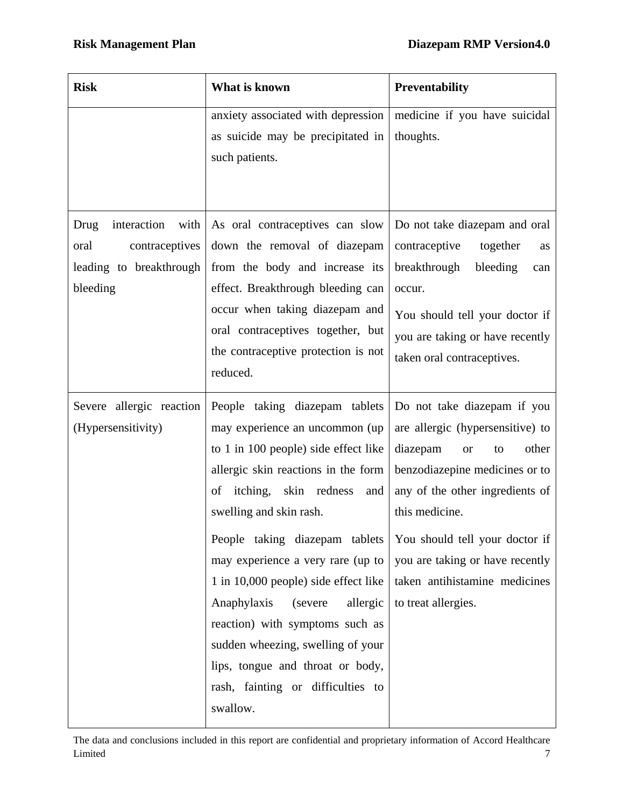| <b>Risk</b>                                                                                  | What is known                                                                                                                                                                                                                                                                                                                                                                                                                                                                                                                   | Preventability                                                                                                                                                                                                                                                                                                              |  |
|----------------------------------------------------------------------------------------------|---------------------------------------------------------------------------------------------------------------------------------------------------------------------------------------------------------------------------------------------------------------------------------------------------------------------------------------------------------------------------------------------------------------------------------------------------------------------------------------------------------------------------------|-----------------------------------------------------------------------------------------------------------------------------------------------------------------------------------------------------------------------------------------------------------------------------------------------------------------------------|--|
|                                                                                              | anxiety associated with depression<br>as suicide may be precipitated in<br>such patients.                                                                                                                                                                                                                                                                                                                                                                                                                                       | medicine if you have suicidal<br>thoughts.                                                                                                                                                                                                                                                                                  |  |
| Drug<br>interaction<br>with<br>contraceptives<br>oral<br>leading to breakthrough<br>bleeding | As oral contraceptives can slow<br>down the removal of diazepam<br>from the body and increase its<br>effect. Breakthrough bleeding can<br>occur when taking diazepam and<br>oral contraceptives together, but<br>the contraceptive protection is not<br>reduced.                                                                                                                                                                                                                                                                | Do not take diazepam and oral<br>contraceptive<br>together<br>as<br>breakthrough<br>bleeding<br>can<br>occur.<br>You should tell your doctor if<br>you are taking or have recently<br>taken oral contraceptives.                                                                                                            |  |
| Severe allergic reaction<br>(Hypersensitivity)                                               | People taking diazepam tablets<br>may experience an uncommon (up<br>to 1 in 100 people) side effect like<br>allergic skin reactions in the form<br>of itching, skin redness<br>and<br>swelling and skin rash.<br>People taking diazepam tablets<br>may experience a very rare (up to<br>1 in 10,000 people) side effect like<br>Anaphylaxis<br>(severe<br>allergic<br>reaction) with symptoms such as<br>sudden wheezing, swelling of your<br>lips, tongue and throat or body,<br>rash, fainting or difficulties to<br>swallow. | Do not take diazepam if you<br>are allergic (hypersensitive) to<br>diazepam<br>other<br>to<br><b>or</b><br>benzodiazepine medicines or to<br>any of the other ingredients of<br>this medicine.<br>You should tell your doctor if<br>you are taking or have recently<br>taken antihistamine medicines<br>to treat allergies. |  |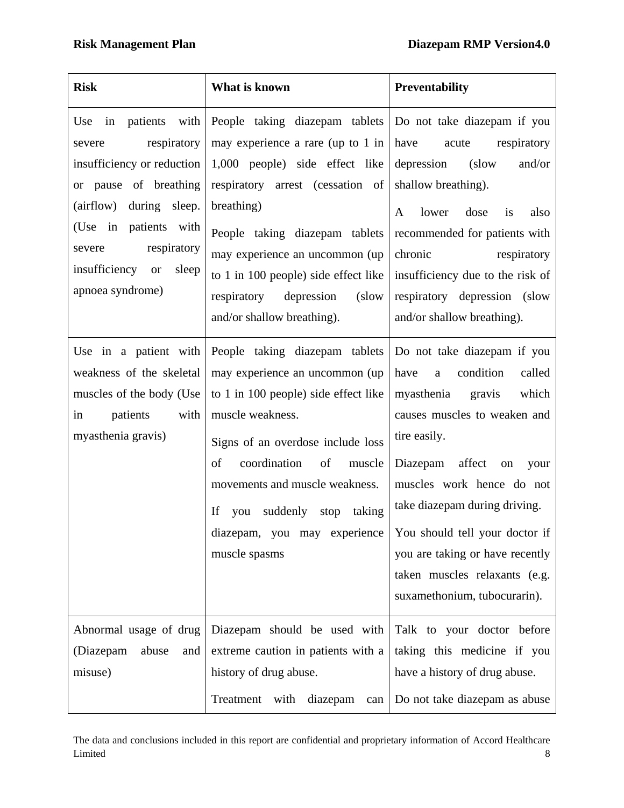| <b>Risk</b>                                                                                                                                                                                                                                        | What is known                                                                                                                                                                                                                                                                                                                        | <b>Preventability</b>                                                                                                                                                                                                                                                                                                                                                                         |
|----------------------------------------------------------------------------------------------------------------------------------------------------------------------------------------------------------------------------------------------------|--------------------------------------------------------------------------------------------------------------------------------------------------------------------------------------------------------------------------------------------------------------------------------------------------------------------------------------|-----------------------------------------------------------------------------------------------------------------------------------------------------------------------------------------------------------------------------------------------------------------------------------------------------------------------------------------------------------------------------------------------|
| in patients<br>with<br>Use<br>respiratory<br>severe<br>insufficiency or reduction<br>or pause of breathing<br>(airflow) during sleep.<br>(Use in patients with<br>respiratory<br>severe<br>insufficiency<br>sleep<br><b>or</b><br>apnoea syndrome) | People taking diazepam tablets<br>may experience a rare (up to 1 in<br>1,000 people) side effect like<br>respiratory arrest (cessation of<br>breathing)<br>People taking diazepam tablets<br>may experience an uncommon (up<br>to 1 in 100 people) side effect like<br>respiratory depression<br>(slow<br>and/or shallow breathing). | Do not take diazepam if you<br>have<br>respiratory<br>acute<br>depression<br>(slow<br>and/or<br>shallow breathing).<br>dose<br>also<br>lower<br>is<br>A<br>recommended for patients with<br>chronic<br>respiratory<br>insufficiency due to the risk of<br>respiratory depression (slow<br>and/or shallow breathing).                                                                          |
| Use in a patient with<br>weakness of the skeletal<br>muscles of the body (Use<br>patients<br>with<br>in<br>myasthenia gravis)                                                                                                                      | People taking diazepam tablets<br>may experience an uncommon (up<br>to 1 in 100 people) side effect like<br>muscle weakness.<br>Signs of an overdose include loss<br>coordination<br>of<br>of<br>muscle<br>movements and muscle weakness.<br>If<br>suddenly stop<br>taking<br>you<br>diazepam, you may experience<br>muscle spasms   | Do not take diazepam if you<br>condition<br>have<br>called<br>$\mathbf{a}$<br>myasthenia gravis<br>which<br>causes muscles to weaken and<br>tire easily.<br>Diazepam affect<br>on<br>your<br>muscles work hence do not<br>take diazepam during driving.<br>You should tell your doctor if<br>you are taking or have recently<br>taken muscles relaxants (e.g.<br>suxamethonium, tubocurarin). |
| Abnormal usage of drug<br>(Diazepam<br>abuse<br>and<br>misuse)                                                                                                                                                                                     | Diazepam should be used with<br>extreme caution in patients with a<br>history of drug abuse.<br>Treatment<br>with<br>diazepam<br>can                                                                                                                                                                                                 | Talk to your doctor before<br>taking this medicine if you<br>have a history of drug abuse.<br>Do not take diazepam as abuse                                                                                                                                                                                                                                                                   |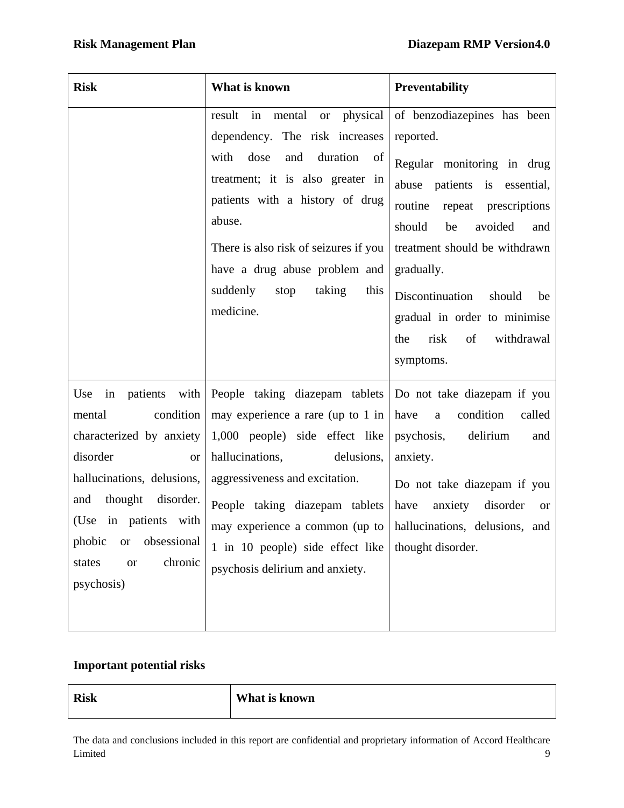| <b>Risk</b>                                                                                                                                                                                                                                                 | What is known                                                                                                                                                                                                                                                                                                                                                               | <b>Preventability</b>                                                                                                                                                                                                                                                                                                                         |
|-------------------------------------------------------------------------------------------------------------------------------------------------------------------------------------------------------------------------------------------------------------|-----------------------------------------------------------------------------------------------------------------------------------------------------------------------------------------------------------------------------------------------------------------------------------------------------------------------------------------------------------------------------|-----------------------------------------------------------------------------------------------------------------------------------------------------------------------------------------------------------------------------------------------------------------------------------------------------------------------------------------------|
|                                                                                                                                                                                                                                                             | result in mental or physical<br>dependency. The risk increases<br>dose<br>duration of<br>with<br>and<br>treatment; it is also greater in<br>patients with a history of drug<br>abuse.<br>There is also risk of seizures if you<br>have a drug abuse problem and<br>suddenly<br>stop<br>taking<br>this<br>medicine.                                                          | of benzodiazepines has been<br>reported.<br>Regular monitoring in drug<br>abuse patients is essential,<br>routine<br>repeat prescriptions<br>should<br>avoided<br>be<br>and<br>treatment should be withdrawn<br>gradually.<br>Discontinuation<br>should<br>be<br>gradual in order to minimise<br>of<br>withdrawal<br>risk<br>the<br>symptoms. |
| Use<br>condition<br>mental<br>characterized by anxiety<br>disorder<br><b>or</b><br>hallucinations, delusions,<br>thought disorder.<br>and<br>in patients with<br>(Use<br>phobic<br>obsessional<br><b>or</b><br>chronic<br>states<br><b>or</b><br>psychosis) | in patients with People taking diazepam tablets<br>may experience a rare (up to 1 in<br>1,000 people) side effect like<br>hallucinations,<br>delusions,<br>aggressiveness and excitation.<br>People taking diazepam tablets<br>may experience a common (up to $\vert$ hallucinations, delusions, and<br>1 in 10 people) side effect like<br>psychosis delirium and anxiety. | Do not take diazepam if you<br>have<br>condition<br>called<br>$\mathbf{a}$<br>psychosis,<br>delirium<br>and<br>anxiety.<br>Do not take diazepam if you<br>have<br>anxiety<br>disorder<br><b>or</b><br>thought disorder.                                                                                                                       |

# **Important potential risks**

| <b>Risk</b> | What is known |
|-------------|---------------|
|             |               |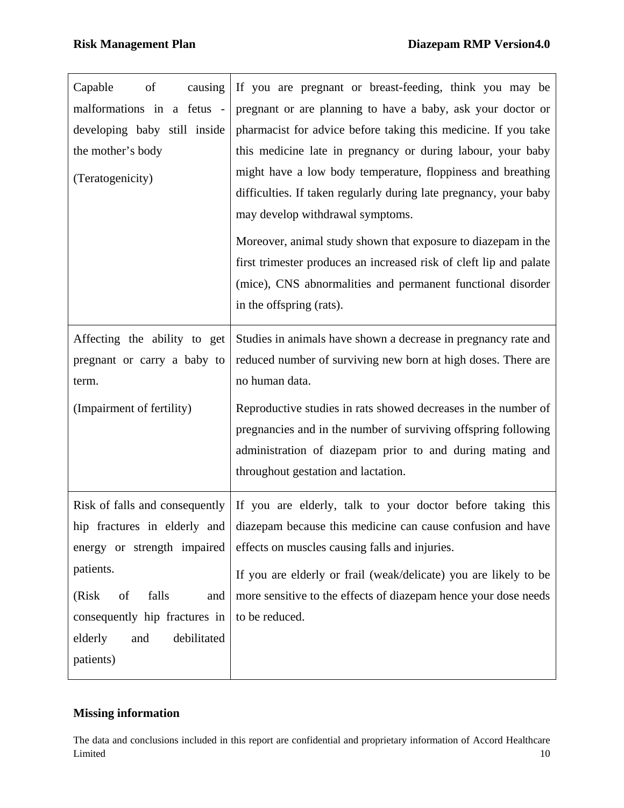| of<br>Capable<br>causing      | If you are pregnant or breast-feeding, think you may be                                     |
|-------------------------------|---------------------------------------------------------------------------------------------|
| malformations in a fetus -    | pregnant or are planning to have a baby, ask your doctor or                                 |
| developing baby still inside  | pharmacist for advice before taking this medicine. If you take                              |
| the mother's body             | this medicine late in pregnancy or during labour, your baby                                 |
| (Teratogenicity)              | might have a low body temperature, floppiness and breathing                                 |
|                               | difficulties. If taken regularly during late pregnancy, your baby                           |
|                               | may develop withdrawal symptoms.                                                            |
|                               | Moreover, animal study shown that exposure to diazepam in the                               |
|                               | first trimester produces an increased risk of cleft lip and palate                          |
|                               | (mice), CNS abnormalities and permanent functional disorder                                 |
|                               | in the offspring (rats).                                                                    |
| Affecting the ability to get  | Studies in animals have shown a decrease in pregnancy rate and                              |
| pregnant or carry a baby to   | reduced number of surviving new born at high doses. There are                               |
| term.                         | no human data.                                                                              |
| (Impairment of fertility)     | Reproductive studies in rats showed decreases in the number of                              |
|                               | pregnancies and in the number of surviving offspring following                              |
|                               | administration of diazepam prior to and during mating and                                   |
|                               | throughout gestation and lactation.                                                         |
|                               | Risk of falls and consequently   If you are elderly, talk to your doctor before taking this |
| hip fractures in elderly and  | diazepam because this medicine can cause confusion and have                                 |
| energy or strength impaired   | effects on muscles causing falls and injuries.                                              |
| patients.                     | If you are elderly or frail (weak/delicate) you are likely to be                            |
| of<br>falls<br>(Risk)<br>and  | more sensitive to the effects of diazepam hence your dose needs                             |
| consequently hip fractures in | to be reduced.                                                                              |
| debilitated<br>elderly<br>and |                                                                                             |
| patients)                     |                                                                                             |

## **Missing information**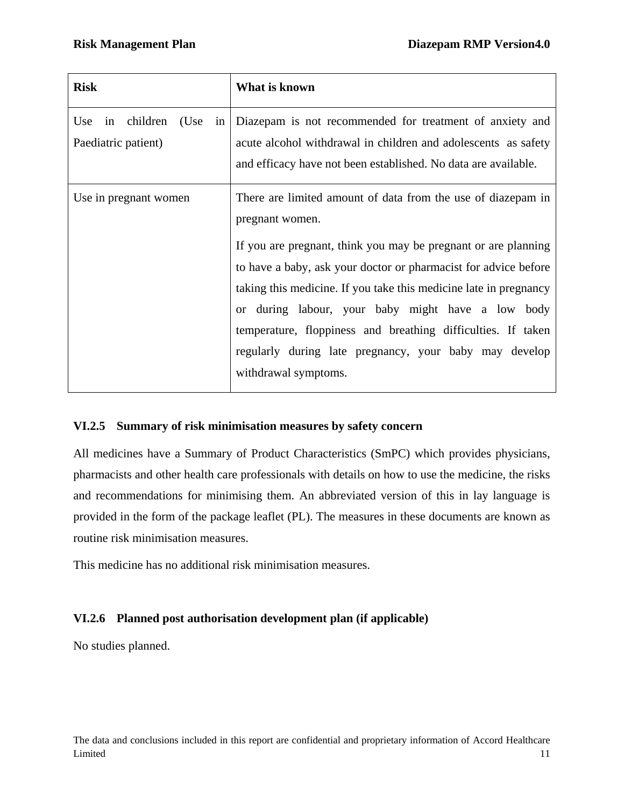| <b>Risk</b>                                       | What is known                                                                                                                                                                                                                                                                                                                                                                                                                                                                                    |
|---------------------------------------------------|--------------------------------------------------------------------------------------------------------------------------------------------------------------------------------------------------------------------------------------------------------------------------------------------------------------------------------------------------------------------------------------------------------------------------------------------------------------------------------------------------|
| in children<br>(Use<br>Use<br>Paediatric patient) | in Diazepam is not recommended for treatment of anxiety and<br>acute alcohol withdrawal in children and adolescents as safety<br>and efficacy have not been established. No data are available.                                                                                                                                                                                                                                                                                                  |
| Use in pregnant women                             | There are limited amount of data from the use of diazepam in<br>pregnant women.<br>If you are pregnant, think you may be pregnant or are planning<br>to have a baby, ask your doctor or pharmacist for advice before<br>taking this medicine. If you take this medicine late in pregnancy<br>or during labour, your baby might have a low body<br>temperature, floppiness and breathing difficulties. If taken<br>regularly during late pregnancy, your baby may develop<br>withdrawal symptoms. |

## **VI.2.5 Summary of risk minimisation measures by safety concern**

All medicines have a Summary of Product Characteristics (SmPC) which provides physicians, pharmacists and other health care professionals with details on how to use the medicine, the risks and recommendations for minimising them. An abbreviated version of this in lay language is provided in the form of the package leaflet (PL). The measures in these documents are known as routine risk minimisation measures.

This medicine has no additional risk minimisation measures.

# **VI.2.6 Planned post authorisation development plan (if applicable)**

No studies planned.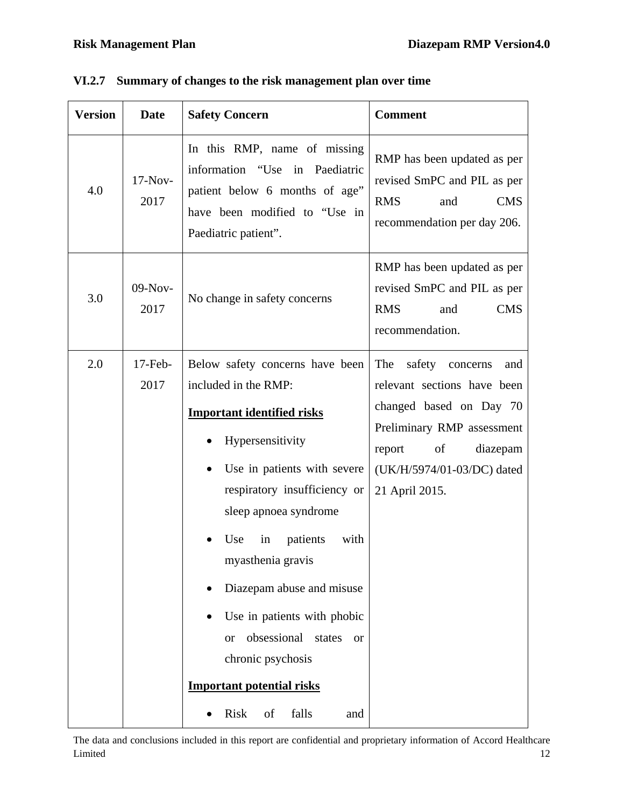| 4.0<br>3.0<br>2.0 | $17-Nov-$<br>2017<br>09-Nov-<br>2017 | In this RMP, name of missing<br>information "Use<br>in Paediatric<br>patient below 6 months of age"<br>have been modified to "Use in<br>Paediatric patient".                                                                                                                                                                                                                                                                                       | RMP has been updated as per<br>revised SmPC and PIL as per<br><b>RMS</b><br><b>CMS</b><br>and<br>recommendation per day 206.<br>RMP has been updated as per                                       |
|-------------------|--------------------------------------|----------------------------------------------------------------------------------------------------------------------------------------------------------------------------------------------------------------------------------------------------------------------------------------------------------------------------------------------------------------------------------------------------------------------------------------------------|---------------------------------------------------------------------------------------------------------------------------------------------------------------------------------------------------|
|                   |                                      |                                                                                                                                                                                                                                                                                                                                                                                                                                                    |                                                                                                                                                                                                   |
|                   |                                      | No change in safety concerns                                                                                                                                                                                                                                                                                                                                                                                                                       | revised SmPC and PIL as per<br><b>RMS</b><br><b>CMS</b><br>and<br>recommendation.                                                                                                                 |
|                   | $17$ -Feb-<br>2017                   | Below safety concerns have been<br>included in the RMP:<br><b>Important identified risks</b><br>Hypersensitivity<br>Use in patients with severe<br>respiratory insufficiency or<br>sleep apnoea syndrome<br>patients<br>with<br>Use<br>in<br>myasthenia gravis<br>Diazepam abuse and misuse<br>$\bullet$<br>Use in patients with phobic<br>obsessional<br>states<br><b>or</b><br>$\alpha$<br>chronic psychosis<br><b>Important potential risks</b> | The<br>safety concerns<br>and<br>relevant sections have been<br>changed based on Day 70<br>Preliminary RMP assessment<br>report<br>of<br>diazepam<br>(UK/H/5974/01-03/DC) dated<br>21 April 2015. |

|  |  |  |  |  | VI.2.7 Summary of changes to the risk management plan over time |  |  |  |
|--|--|--|--|--|-----------------------------------------------------------------|--|--|--|
|--|--|--|--|--|-----------------------------------------------------------------|--|--|--|

The data and conclusions included in this report are confidential and proprietary information of Accord Healthcare Limited 2008 and 2008 and 2008 and 2008 and 2008 and 2008 and 2008 and 2008 and 2008 and 2008 and 2008 and 200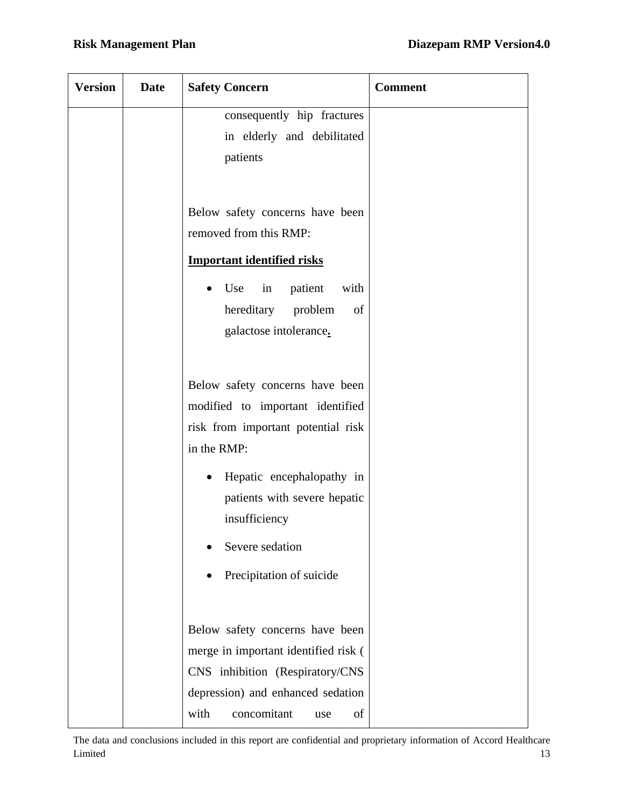| <b>Version</b> | <b>Date</b> | <b>Safety Concern</b>                                         | <b>Comment</b> |
|----------------|-------------|---------------------------------------------------------------|----------------|
|                |             | consequently hip fractures                                    |                |
|                |             | in elderly and debilitated                                    |                |
|                |             | patients                                                      |                |
|                |             |                                                               |                |
|                |             | Below safety concerns have been                               |                |
|                |             | removed from this RMP:                                        |                |
|                |             | <b>Important identified risks</b>                             |                |
|                |             | patient<br>Use<br>$\overline{\text{in}}$<br>with<br>$\bullet$ |                |
|                |             | hereditary problem<br>of                                      |                |
|                |             | galactose intolerance.                                        |                |
|                |             |                                                               |                |
|                |             | Below safety concerns have been                               |                |
|                |             | modified to important identified                              |                |
|                |             | risk from important potential risk                            |                |
|                |             | in the RMP:                                                   |                |
|                |             | Hepatic encephalopathy in<br>$\bullet$                        |                |
|                |             | patients with severe hepatic                                  |                |
|                |             | insufficiency                                                 |                |
|                |             | Severe sedation                                               |                |
|                |             | Precipitation of suicide                                      |                |
|                |             |                                                               |                |
|                |             | Below safety concerns have been                               |                |
|                |             | merge in important identified risk (                          |                |
|                |             | CNS inhibition (Respiratory/CNS                               |                |
|                |             | depression) and enhanced sedation                             |                |
|                |             | with<br>concomitant<br>of<br>use                              |                |